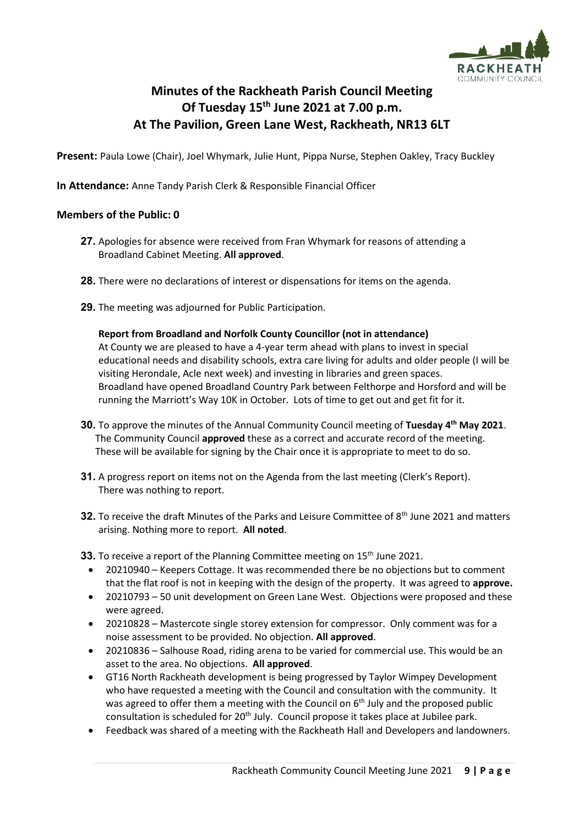

# **Minutes of the Rackheath Parish Council Meeting Of Tuesday 15th June 2021 at 7.00 p.m. At The Pavilion, Green Lane West, Rackheath, NR13 6LT**

**Present:** Paula Lowe (Chair), Joel Whymark, Julie Hunt, Pippa Nurse, Stephen Oakley, Tracy Buckley

**In Attendance:** Anne Tandy Parish Clerk & Responsible Financial Officer

## **Members of the Public: 0**

- **27.** Apologies for absence were received from Fran Whymark for reasons of attending a Broadland Cabinet Meeting. **All approved**.
- **28.** There were no declarations of interest or dispensations for items on the agenda.
- **29.** The meeting was adjourned for Public Participation.

**Report from Broadland and Norfolk County Councillor (not in attendance)** At County we are pleased to have a 4-year term ahead with plans to invest in special educational needs and disability schools, extra care living for adults and older people (I will be visiting Herondale, Acle next week) and investing in libraries and green spaces. Broadland have opened Broadland Country Park between Felthorpe and Horsford and will be running the Marriott's Way 10K in October. Lots of time to get out and get fit for it.

- **30.** To approve the minutes of the Annual Community Council meeting of **Tuesday 4 th May 2021**. The Community Council **approved** these as a correct and accurate record of the meeting. These will be available for signing by the Chair once it is appropriate to meet to do so.
- **31.** A progress report on items not on the Agenda from the last meeting (Clerk's Report). There was nothing to report.
- **32.** To receive the draft Minutes of the Parks and Leisure Committee of 8<sup>th</sup> June 2021 and matters arising. Nothing more to report. **All noted**.

**33.** To receive a report of the Planning Committee meeting on 15<sup>th</sup> June 2021.

- 20210940 Keepers Cottage. It was recommended there be no objections but to comment that the flat roof is not in keeping with the design of the property. It was agreed to **approve.**
- 20210793 50 unit development on Green Lane West. Objections were proposed and these were agreed.
- 20210828 Mastercote single storey extension for compressor. Only comment was for a noise assessment to be provided. No objection. **All approved**.
- 20210836 Salhouse Road, riding arena to be varied for commercial use. This would be an asset to the area. No objections. **All approved**.
- GT16 North Rackheath development is being progressed by Taylor Wimpey Development who have requested a meeting with the Council and consultation with the community. It was agreed to offer them a meeting with the Council on  $6<sup>th</sup>$  July and the proposed public consultation is scheduled for 20<sup>th</sup> July. Council propose it takes place at Jubilee park.
- Feedback was shared of a meeting with the Rackheath Hall and Developers and landowners.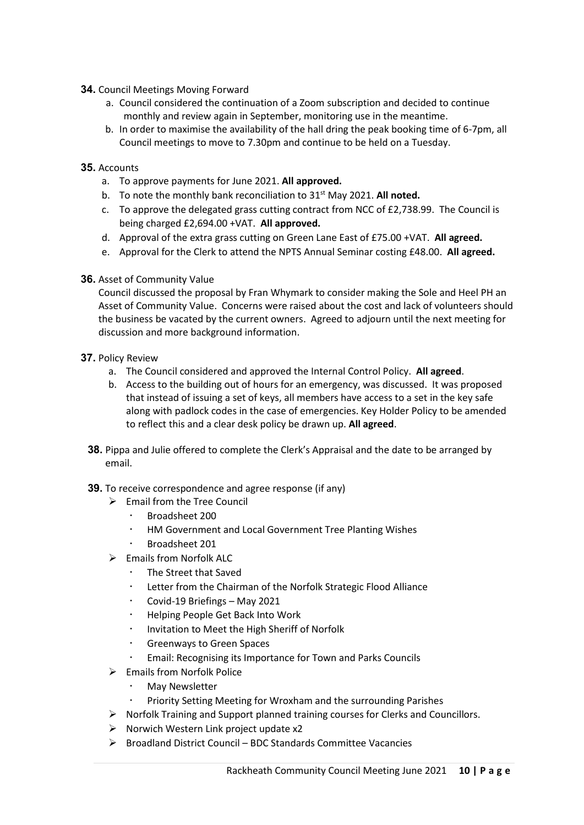- **34.** Council Meetings Moving Forward
	- a. Council considered the continuation of a Zoom subscription and decided to continue monthly and review again in September, monitoring use in the meantime.
	- b. In order to maximise the availability of the hall dring the peak booking time of 6-7pm, all Council meetings to move to 7.30pm and continue to be held on a Tuesday.

## **35.** Accounts

- a. To approve payments for June 2021. **All approved.**
- b. To note the monthly bank reconciliation to 31st May 2021. **All noted.**
- c. To approve the delegated grass cutting contract from NCC of £2,738.99. The Council is being charged £2,694.00 +VAT. **All approved.**
- d. Approval of the extra grass cutting on Green Lane East of £75.00 +VAT. **All agreed.**
- e. Approval for the Clerk to attend the NPTS Annual Seminar costing £48.00. **All agreed.**

#### **36.** Asset of Community Value

Council discussed the proposal by Fran Whymark to consider making the Sole and Heel PH an Asset of Community Value. Concerns were raised about the cost and lack of volunteers should the business be vacated by the current owners. Agreed to adjourn until the next meeting for discussion and more background information.

- **37.** Policy Review
	- a. The Council considered and approved the Internal Control Policy. **All agreed**.
	- b. Access to the building out of hours for an emergency, was discussed. It was proposed that instead of issuing a set of keys, all members have access to a set in the key safe along with padlock codes in the case of emergencies. Key Holder Policy to be amended to reflect this and a clear desk policy be drawn up. **All agreed**.
	- **38.** Pippa and Julie offered to complete the Clerk's Appraisal and the date to be arranged by email.
	- **39.** To receive correspondence and agree response (if any)
		- ➢ Email from the Tree Council
			- Broadsheet 200
			- HM Government and Local Government Tree Planting Wishes
			- Broadsheet 201
		- ➢ Emails from Norfolk ALC
			- The Street that Saved
			- Letter from the Chairman of the Norfolk Strategic Flood Alliance
			- Covid-19 Briefings May 2021
			- Helping People Get Back Into Work
			- Invitation to Meet the High Sheriff of Norfolk
			- Greenways to Green Spaces
			- Email: Recognising its Importance for Town and Parks Councils
		- ➢ Emails from Norfolk Police
			- May Newsletter
			- Priority Setting Meeting for Wroxham and the surrounding Parishes
		- $\triangleright$  Norfolk Training and Support planned training courses for Clerks and Councillors.
		- $\triangleright$  Norwich Western Link project update x2
		- ➢ Broadland District Council BDC Standards Committee Vacancies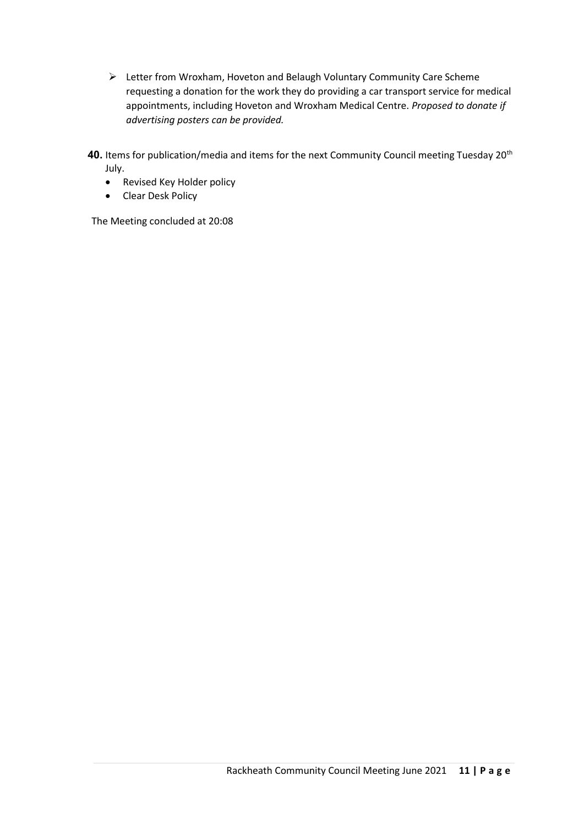➢ Letter from Wroxham, Hoveton and Belaugh Voluntary Community Care Scheme requesting a donation for the work they do providing a car transport service for medical appointments, including Hoveton and Wroxham Medical Centre. *Proposed to donate if advertising posters can be provided.*

40. Items for publication/media and items for the next Community Council meeting Tuesday 20<sup>th</sup> July.

- Revised Key Holder policy
- Clear Desk Policy

The Meeting concluded at 20:08